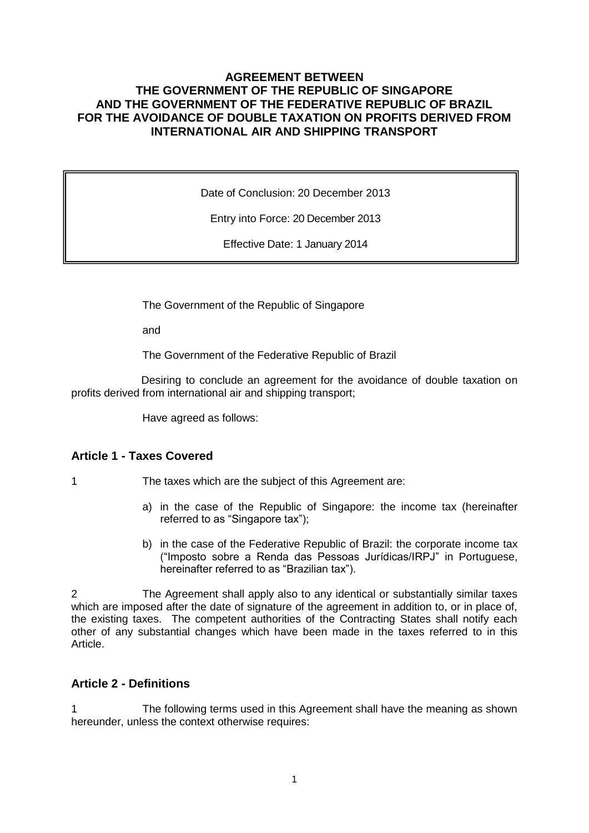### **AGREEMENT BETWEEN THE GOVERNMENT OF THE REPUBLIC OF SINGAPORE AND THE GOVERNMENT OF THE FEDERATIVE REPUBLIC OF BRAZIL FOR THE AVOIDANCE OF DOUBLE TAXATION ON PROFITS DERIVED FROM INTERNATIONAL AIR AND SHIPPING TRANSPORT**

Date of Conclusion: 20 December 2013

Entry into Force: 20 December 2013

Effective Date: 1 January 2014

The Government of the Republic of Singapore

and

The Government of the Federative Republic of Brazil

Desiring to conclude an agreement for the avoidance of double taxation on profits derived from international air and shipping transport;

Have agreed as follows:

### **Article 1 - Taxes Covered**

- 1 The taxes which are the subject of this Agreement are:
	- a) in the case of the Republic of Singapore: the income tax (hereinafter referred to as "Singapore tax");
	- b) in the case of the Federative Republic of Brazil: the corporate income tax ("Imposto sobre a Renda das Pessoas Jurídicas/IRPJ" in Portuguese, hereinafter referred to as "Brazilian tax").

2 The Agreement shall apply also to any identical or substantially similar taxes which are imposed after the date of signature of the agreement in addition to, or in place of, the existing taxes. The competent authorities of the Contracting States shall notify each other of any substantial changes which have been made in the taxes referred to in this Article.

#### **Article 2 - Definitions**

1 The following terms used in this Agreement shall have the meaning as shown hereunder, unless the context otherwise requires: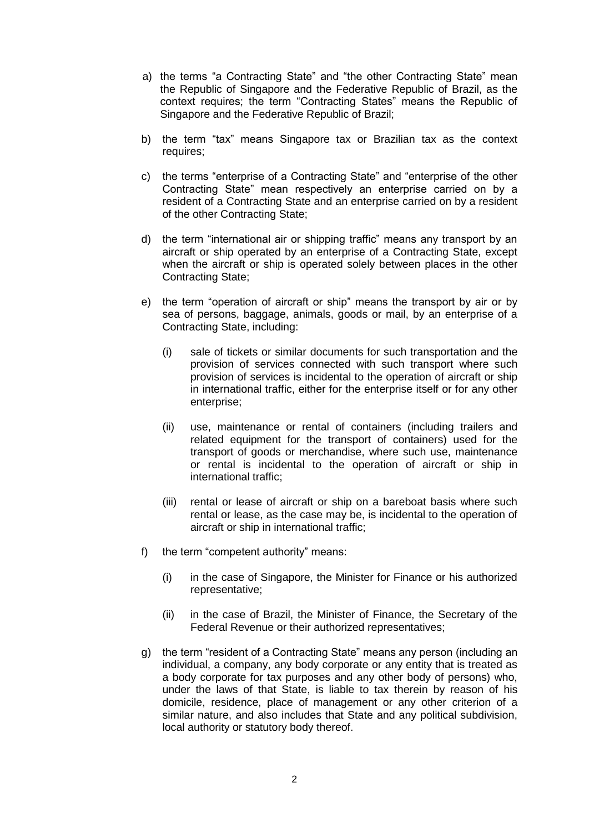- a) the terms "a Contracting State" and "the other Contracting State" mean the Republic of Singapore and the Federative Republic of Brazil, as the context requires; the term "Contracting States" means the Republic of Singapore and the Federative Republic of Brazil;
- b) the term "tax" means Singapore tax or Brazilian tax as the context requires;
- c) the terms "enterprise of a Contracting State" and "enterprise of the other Contracting State" mean respectively an enterprise carried on by a resident of a Contracting State and an enterprise carried on by a resident of the other Contracting State;
- d) the term "international air or shipping traffic" means any transport by an aircraft or ship operated by an enterprise of a Contracting State, except when the aircraft or ship is operated solely between places in the other Contracting State;
- e) the term "operation of aircraft or ship" means the transport by air or by sea of persons, baggage, animals, goods or mail, by an enterprise of a Contracting State, including:
	- (i) sale of tickets or similar documents for such transportation and the provision of services connected with such transport where such provision of services is incidental to the operation of aircraft or ship in international traffic, either for the enterprise itself or for any other enterprise;
	- (ii) use, maintenance or rental of containers (including trailers and related equipment for the transport of containers) used for the transport of goods or merchandise, where such use, maintenance or rental is incidental to the operation of aircraft or ship in international traffic;
	- (iii) rental or lease of aircraft or ship on a bareboat basis where such rental or lease, as the case may be, is incidental to the operation of aircraft or ship in international traffic;
- f) the term "competent authority" means:
	- (i) in the case of Singapore, the Minister for Finance or his authorized representative;
	- (ii) in the case of Brazil, the Minister of Finance, the Secretary of the Federal Revenue or their authorized representatives;
- g) the term "resident of a Contracting State" means any person (including an individual, a company, any body corporate or any entity that is treated as a body corporate for tax purposes and any other body of persons) who, under the laws of that State, is liable to tax therein by reason of his domicile, residence, place of management or any other criterion of a similar nature, and also includes that State and any political subdivision, local authority or statutory body thereof.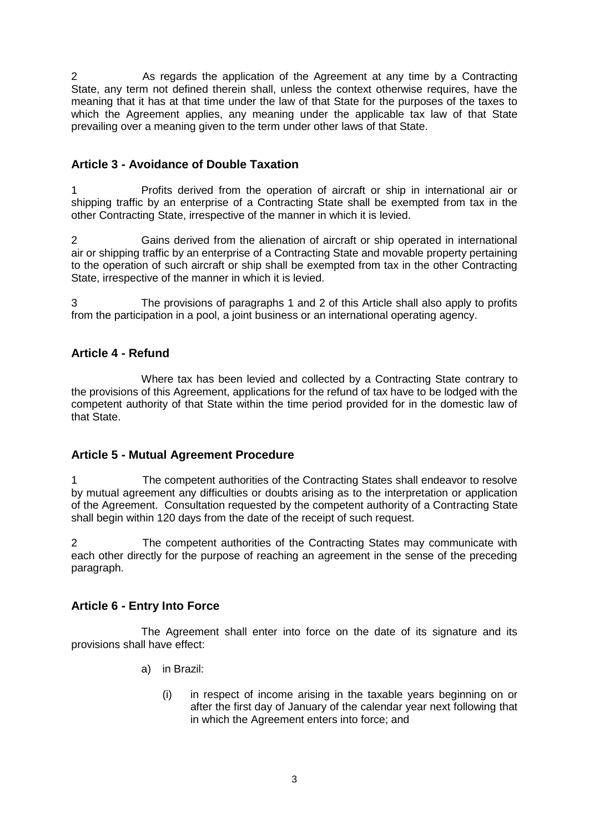2 As regards the application of the Agreement at any time by a Contracting State, any term not defined therein shall, unless the context otherwise requires, have the meaning that it has at that time under the law of that State for the purposes of the taxes to which the Agreement applies, any meaning under the applicable tax law of that State prevailing over a meaning given to the term under other laws of that State.

# **Article 3 - Avoidance of Double Taxation**

1 Profits derived from the operation of aircraft or ship in international air or shipping traffic by an enterprise of a Contracting State shall be exempted from tax in the other Contracting State, irrespective of the manner in which it is levied.

2 Gains derived from the alienation of aircraft or ship operated in international air or shipping traffic by an enterprise of a Contracting State and movable property pertaining to the operation of such aircraft or ship shall be exempted from tax in the other Contracting State, irrespective of the manner in which it is levied.

3 The provisions of paragraphs 1 and 2 of this Article shall also apply to profits from the participation in a pool, a joint business or an international operating agency.

# **Article 4 - Refund**

Where tax has been levied and collected by a Contracting State contrary to the provisions of this Agreement, applications for the refund of tax have to be lodged with the competent authority of that State within the time period provided for in the domestic law of that State.

### **Article 5 - Mutual Agreement Procedure**

1 The competent authorities of the Contracting States shall endeavor to resolve by mutual agreement any difficulties or doubts arising as to the interpretation or application of the Agreement. Consultation requested by the competent authority of a Contracting State shall begin within 120 days from the date of the receipt of such request.

2 The competent authorities of the Contracting States may communicate with each other directly for the purpose of reaching an agreement in the sense of the preceding paragraph.

# **Article 6 - Entry Into Force**

The Agreement shall enter into force on the date of its signature and its provisions shall have effect:

- a) in Brazil:
	- (i) in respect of income arising in the taxable years beginning on or after the first day of January of the calendar year next following that in which the Agreement enters into force; and